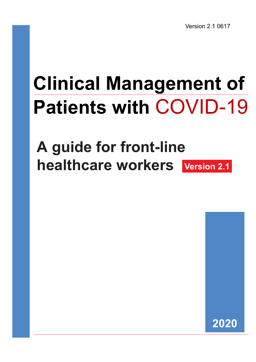Version 2.1 0617

# Clinical Management of Patients with COVID-19

# A guide for front-line healthcare workers Version 2.1

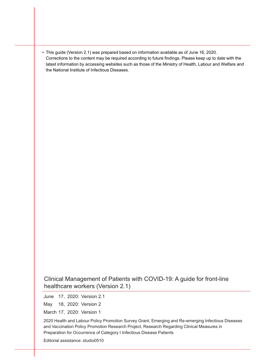• This guide (Version 2.1) was prepared based on information available as of June 16, 2020. Corrections to the content may be required according to future findings. Please keep up to date with the latest information by accessing websites such as those of the Ministry of Health, Labour and Welfare and the National Institute of Infectious Diseases.

Clinical Management of Patients with COVID-19: A guide for front-line healthcare workers (Version 2.1)

June 17, 2020: Version 2.1

May 18, 2020: Version 2

March 17, 2020: Version 1

2020 Health and Labour Policy Promotion Survey Grant, Emerging and Re-emerging Infectious Diseases and Vaccination Policy Promotion Research Project, Research Regarding Clinical Measures in Preparation for Occurrence of Category I Infectious Disease Patients

Editorial assistance: studio0510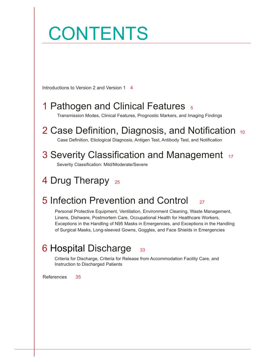# Introductions to Version 2 and Version 1 4 1 Pathogen and Clinical Features 5 Transmission Modes, Clinical Features, Prognostic Markers, and Imaging Findings 2 Case Definition, Diagnosis, and Notification 10 Case Definition, Etiological Diagnosis, Antigen Test, Antibody Test, and Notification 3 Severity Classification and Management 17 4 Drug Therapy 25 5 Infection Prevention and Control <sub>27</sub> Personal Protective Equipment, Ventilation, Environment Cleaning, Waste Management, Linens, Dishware, Postmortem Care, Occupational Health for Healthcare Workers, Exceptions in the Handling of N95 Masks in Emergencies, and Exceptions in the Handling of Surgical Masks, Long-sleeved Gowns, Goggles, and Face Shields in Emergencies 6 Hospital Discharge 33 **CONTENTS** Severity Classification: Mild/Moderate/Severe

Criteria for Discharge, Criteria for Release from Accommodation Facility Care, and Instruction to Discharged Patients

References 35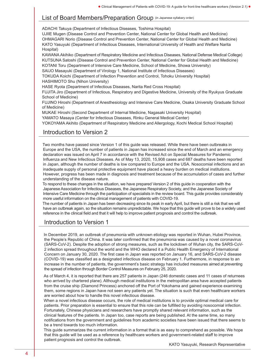### List of Board Members/Preparation Group (in Japanese syllabary order)

ADACHI Takuya (Department of Infectious Diseases, Toshima Hospital)

UJIIE Mugen (Disease Control and Prevention Center, National Center for Global Health and Medicine) OHMAGARI Norio (Disease Control and Prevention Center, National Center for Global Health and Medicine) KATO Yasuyuki (Department of Infectious Diseases, International University of Health and Welfare Narita Hospital)

KAWANA Akihiko (Department of Respiratory Medicine and Infectious Diseases, National Defense Medical College) KUTSUNA Satoshi (Disease Control and Prevention Center, National Center for Global Health and Medicine) KOTANI Toru (Department of Intensive Care Medicine, School of Medicine, Showa University)

SAIJO Masayuki (Department of Virology 1, National Institute of Infectious Diseases)

TOKUDA Koichi (Department of Infection Prevention and Control, Tohoku University Hospital) HASHIMOTO Shu (Nihon University)

HASE Ryota (Department of Infectious Diseases, Narita Red Cross Hospital)

FUJITA Jiro (Department of Infectious, Respiratory and Digestive Medicine, University of the Ryukyus Graduate School of Medicine)

FUJINO Hiroshi (Department of Anesthesiology and Intensive Care Medicine, Osaka University Graduate School of Medicine)

MUKAE Hiroshi (Second Department of Internal Medicine, Nagasaki University Hospital)

YAMATO Masaya (Center for Infectious Diseases, Rinku General Medical Center)

YOKOYAMA Akihito (Department of Respiratory Medicine and Allergology, Kochi Medical School Hospital)

### Introduction to Version 2

Two months have passed since Version 1 of this guide was released. While there have been outbreaks in Europe and the USA, the number of patients in Japan has increased since the end of March and an emergency declaration was issued on April 7 in accordance with the Revised Act on Special Measures for Pandemic Influenza and New Infectious Diseases. As of May 13, 2020, 15,908 cases and 687 deaths have been reported in Japan, although the number of deaths is low compared to Europe and the USA. Nosocomial infections and an inadequate supply of personal protective equipment have placed a heavy burden on medical institutions. However, progress has been made in diagnosis and treatment because of the accumulation of cases and further understanding of the disease nature.

To respond to these changes in the situation, we have prepared Version 2 of this guide in cooperation with the Japanese Association for Infectious Diseases, the Japanese Respiratory Society, and the Japanese Society of Intensive Care Medicine through the participation of specialists in the review board. This guide provides considerably more useful information on the clinical management of patients with COVID-19.

The number of patients in Japan has been decreasing since its peak in early April, but there is still a risk that we will have an outbreak again, so the situation remains unpredictable. We hope that this guide will prove to be a widely used reference in the clinical field and that it will help to improve patient prognosis and control the outbreak.

### Introduction to Version 1

In December 2019, an outbreak of pneumonia with unknown etiology was reported in Wuhan, Hubei Province, the People's Republic of China. It was later confirmed that the pneumonia was caused by a novel coronavirus (SARS-CoV-2). Despite the adoption of strong measures, such as the lockdown of Wuhan city, the SARS-CoV-2 infection spread throughout the world and the WHO declared it a Public Health Emergency of International Concern on January 30, 2020. The first case in Japan was reported on January 16, and SARS-CoV-2 disease (COVID-19) was classified as a designated infectious disease on February 1. Furthermore, in response to an increase in the number of patients, the government's basic strategy has included measures aimed at preventing the spread of infection through Border Control Measures on February 25, 2020.

As of March 4, it is reported that there are 257 patients in Japan (246 domestic cases and 11 cases of returnees who arrived by chartered plane). Although medical institutions in the metropolitan area have accepted patients from the cruise ship (Diamond Princess) anchored off the Port of Yokohama and gained experience examining them, some regions in Japan have not seen any patients yet. The situation is such that even healthcare workers are worried about how to handle this novel infectious disease.

When a novel infectious disease occurs, the role of medical institutions is to provide optimal medical care for patients. Prior preparation is essential to ensure that this role can be fulfilled by avoiding nosocomial infection. Fortunately, Chinese physicians and researchers have promptly shared relevant information, such as the clinical features of the patients. In Japan too, case reports are being published. At the same time, so many notifications from the government and guidelines from academic societies have been issued that there seems to be a trend towards too much information.

This guide summarizes the current information in a format that is as easy to comprehend as possible. We hope that this guide will be used as a reference by healthcare workers and government-related staff to improve patient prognosis and control the outbreak.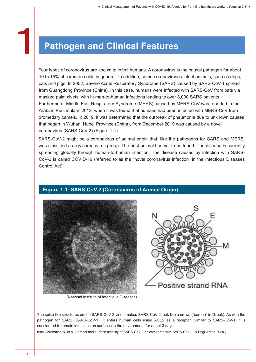### Pathogen and Clinical Features

Four types of coronavirus are known to infect humans. A coronavirus is the causal pathogen for about 10 to 15% of common colds in general. In addition, some coronaviruses infect animals, such as dogs, cats and pigs. In 2002, Severe Acute Respiratory Syndrome (SARS) caused by SARS-CoV-1 spread from Guangdong Province (China). In this case, humans were infected with SARS-CoV from bats via masked palm civets, with human-to-human infections leading to over 8,000 SARS patients. Furthermore, Middle East Respiratory Syndrome (MERS) caused by MERS-CoV was reported in the Arabian Peninsula in 2012, when it was found that humans had been infected with MERS-CoV from dromedary camels. In 2019, it was determined that the outbreak of pneumonia due to unknown causes that began in Wuhan, Hubei Province (China), from December 2019 was caused by a novel coronavirus (SARS-CoV-2) (Figure 1-1).

SARS-CoV-2 might be a coronavirus of animal origin that, like the pathogens for SARS and MERS, was classified as a β-coronavirus group. The host animal has yet to be found. The disease is currently spreading globally through human-to-human infection. The disease caused by infection with SARS-CoV-2 is called COVID-19 (referred to as the "novel coronavirus infection" in the Infectious Diseases Control Act).







(National Institute of Infectious Diseases)

The spike like structures on the SARS-CoV-2 virion makes SARS-CoV-2 look like a crown ("corona" in Greek). As with the pathogen for SARS (SARS-CoV-1), it enters human cells using ACE2 as a receptor. Similar to SARS-CoV-1, it is considered to remain infectious on surfaces in the environment for about 3 days.

(van Doremalen N, et al. Aerosol and surface stability of SARS-CoV-2 as compared with SARS-CoV-1. N Engl J Med 2020.)

 $\mathbf{1}$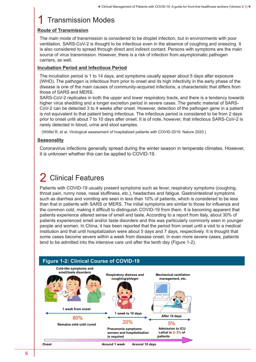### **Transmission Modes**

#### Route of Transmission

The main mode of transmission is considered to be droplet infection, but in environments with poor ventilation, SARS-CoV-2 is thought to be infectious even in the absence of coughing and sneezing. It is also considered to spread through direct and indirect contact. Persons with symptoms are the main source of virus transmission. However, there is a risk of infection from asymptomatic pathogen carriers, as well.

#### Incubation Period and Infectious Period

The incubation period is 1 to 14 days, and symptoms usually appear about 5 days after exposure (WHO). The pathogen is infectious from prior to onset and its high infectivity in the early phase of the disease is one of the main causes of community-acquired infections, a characteristic that differs from those of SARS and MERS.

SARS-CoV-2 replicates in both the upper and lower respiratory tracts, and there is a tendency towards higher virus shedding and a longer excretion period in severe cases. The genetic material of SARS-CoV-2 can be detected 3 to 4 weeks after onset. However, detection of the pathogen gene in a patient is not equivalent to that patient being infectious. The infectious period is considered to be from 2 days prior to onset until about 7 to 10 days after onset. It is of note, however, that infectious SARS-CoV-2 is rarely detected in blood, urine and stool samples.

(Wölfel R, et al. Virological assessment of hospitalized patients with COVID-2019. Nature 2020.)

### **Seasonality**

Coronavirus infections generally spread during the winter season in temperate climates. However, it is unknown whether this can be applied to COVID-19.

### **Clinical Features**

Patients with COVID-19 usually present symptoms such as fever, respiratory symptoms (coughing, throat pain, runny nose, nasal stuffiness, etc.), headaches and fatigue. Gastrointestinal symptoms such as diarrhea and vomiting are seen in less than 10% of patients, which is considered to be less than that in patients with SARS or MERS. The initial symptoms are similar to those for influenza and the common cold, making it difficult to distinguish COVID-19 from them. It is becoming apparent that patients experience altered sense of smell and taste. According to a report from Italy, about 30% of patients experienced smell and/or taste disorders and this was particularly commonly seen in younger people and women. In China, it has been reported that the period from onset until a visit to a medical institution and that until hospitalization were about 5 days and 7 days, respectively. It is thought that some cases become severe within a week from disease onset. In even more severe cases, patients tend to be admitted into the intensive care unit after the tenth day (Figure 1-2).

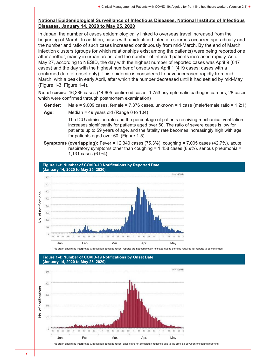#### National Epidemiological Surveillance of Infectious Diseases, National Institute of Infectious Diseases, January 14, 2020 to May 25, 2020

In Japan, the number of cases epidemiologically linked to overseas travel increased from the beginning of March. In addition, cases with unidentified infection sources occurred sporadically and the number and ratio of such cases increased continuously from mid-March. By the end of March, infection clusters (groups for which relationships exist among the patients) were being reported one after another, mainly in urban areas, and the number of infected patients increased rapidly. As of May 27, according to NESID, the day with the highest number of reported cases was April 9 (647 cases) and the day with the highest number of onsets was April 1 (419 cases: cases with a confirmed date of onset only). This epidemic is considered to have increased rapidly from mid-March, with a peak in early April, after which the number decreased until it had settled by mid-May (Figure 1-3, Figure 1-4).

No. of cases: 16,386 cases (14,605 confirmed cases, 1,753 asymptomatic pathogen carriers, 28 cases which were confirmed through postmortem examination)

- **Gender:** Male =  $9,009$  cases, female =  $7,376$  cases, unknown =  $1$  case (male/female ratio =  $1.2:1$ )
- Age: Median = 49 years old (Range 0 to 104)

The ICU admission rate and the percentage of patients receiving mechanical ventilation increases significantly for patients aged over 60. The ratio of severe cases is low for patients up to 59 years of age, and the fatality rate becomes increasingly high with age for patients aged over 60. (Figure 1-5)

Symptoms (overlapping): Fever = 12,340 cases (75.3%), coughing = 7,005 cases (42.7%), acute respiratory symptoms other than coughing  $= 1.458$  cases (8.9%), serious pneumonia  $=$ 1,131 cases (6.9%).



\* This graph should be interpreted with caution because recent reports are not completely reflected due to the time required for reports to be confirmed.





\* This graph should be interpreted with caution because recent onsets are not completely reflected due to the time lag between onset and reporting.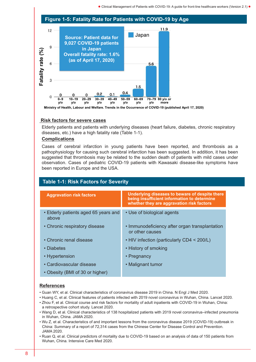#### Figure 1-5: Fatality Rate for Patients with COVID-19 by Age



Ministry of Health, Labour and Welfare. Trends in the Occurrence of COVID-19 (published April 17, 2020)

#### Risk factors for severe cases

Elderly patients and patients with underlying diseases (heart failure, diabetes, chronic respiratory diseases, etc.) have a high fatality rate (Table 1-1).

#### **Complications**

Cases of cerebral infarction in young patients have been reported, and thrombosis as a pathophysiology for causing such cerebral infarction has been suggested. In addition, it has been suggested that thrombosis may be related to the sudden death of patients with mild cases under observation. Cases of pediatric COVID-19 patients with Kawasaki disease-like symptoms have been reported in Europe and the USA.

### Aggravation risk factors **Underlying diseases to beware of despite there** being insufficient information to determine whether they are aggravation risk factors • Elderly patients aged 65 years and above • Use of biological agents • Chronic respiratory disease • Immunodeficiency after organ transplantation or other causes • Chronic renal disease • HIV infection (particularly CD4 < 200/L) • Diabetes • History of smoking • Hypertension • Pregnancy • Cardiovascular disease • Malignant tumor • Obesity (BMI of 30 or higher) Table 1-1: Risk Factors for Severity

#### References

- Guan WY, et al. Clinical characteristics of coronavirus disease 2019 in China. N Engl J Med 2020.
- Huang C, et al. Clinical features of patients infected with 2019 novel coronavirus in Wuhan, China. Lancet 2020.
- Zhou F, et al. Clinical course and risk factors for mortality of adult inpatients with COVID-19 in Wuhan, China: a retrospective cohort study. Lancet 2020.
- Wang D, et al. Clinical characteristics of 138 hospitalized patients with 2019 novel coronavirus–infected pneumonia in Wuhan, China. JAMA 2020.
- Wu Z, et al. Characteristics of and important lessons from the coronavirus disease 2019 (COVID-19) outbreak in China: Summary of a report of 72,314 cases from the Chinese Center for Disease Control and Prevention. JAMA 2020.
- Ruan Q, et al. Clinical predictors of mortality due to COVID-19 based on an analysis of data of 150 patients from Wuhan, China. Intensive Care Med 2020.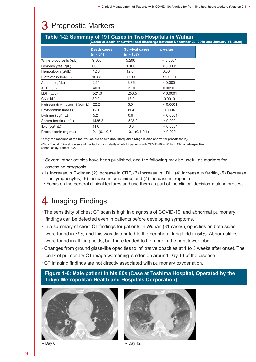### 3 Prognostic Markers

#### Table 1-2: Summary of 191 Cases in Two Hospitals in Wuhan (Cases of death or survival and discharge between December 29, 2019 and January 31, 2020)

|                                     | <b>Death cases</b><br>$(n = 54)$ | <b>Survival cases</b><br>$(n = 137)$ | p-value  |
|-------------------------------------|----------------------------------|--------------------------------------|----------|
| White blood cells (/µL)             | 9,800                            | 5,200                                | < 0.0001 |
| Lymphocytes (/µL)                   | 600                              | 1,100                                | < 0.0001 |
| Hemoglobin (g/dL)                   | 12.6                             | 12.8                                 | 0.30     |
| Platelets (x104/µL)                 | 16.55                            | 22.00                                | < 0.0001 |
| Albumin (g/dL)                      | 2.91                             | 3.36                                 | < 0.0001 |
| ALT (U/L)                           | 40.0                             | 27.0                                 | 0.0050   |
| LDH (U/L)                           | 521.0                            | 253.5                                | < 0.0001 |
| $CK$ (U/L)                          | 39.0                             | 18.0                                 | 0.0010   |
| High-sensitivity troponin I (pg/mL) | 22.2                             | 3.0                                  | < 0.0001 |
| Prothrombin time (s)                | 12.1                             | 11.4                                 | 0.0004   |
| D-dimer $(\mu q/mL)$                | 5.2                              | 0.6                                  | < 0.0001 |
| Serum ferritin (µg/L)               | 1435.3                           | 503.2                                | < 0.0001 |
| $IL-6$ (pg/mL)                      | 11.0                             | 6.3                                  | < 0.0001 |
| Procalcitonin (ng/mL)               | $0.1(0.1-0.5)$                   | $0.1(0.1-0.1)$                       | < 0.0001 |

\* Only the medians of the test values are shown (the interquartile range is also shown for procalcitonin).

(Zhou F, et al. Clinical course and risk factor for mortality of adult inpatients with COVID-19 in Wuhan, China: retrospective cohort study. Lancet 2020)

- Several other articles have been published, and the following may be useful as markers for assessing prognosis.
- (1) Increase in D-dimer, (2) Increase in CRP, (3) Increase in LDH, (4) Increase in ferritin, (5) Decrease in lymphocytes, (6) Increase in creatinine, and (7) Increase in troponin
- Focus on the general clinical features and use them as part of the clinical decision-making process.

### 4 Imaging Findings

- The sensitivity of chest CT scan is high in diagnosis of COVID-19, and abnormal pulmonary findings can be detected even in patients before developing symptoms.
- In a summary of chest CT findings for patients in Wuhan (81 cases), opacities on both sides were found in 79% and this was distributed to the peripheral lung field in 54%. Abnormalities were found in all lung fields, but there tended to be more in the right lower lobe.
- Changes from ground glass-like opacities to infiltrative opacities at 1 to 3 weeks after onset. The peak of pulmonary CT image worsening is often on around Day 14 of the disease.
- CT imaging findings are not directly associated with pulmonary oxygenation.

Figure 1-6: Male patient in his 80s (Case at Toshima Hospital, Operated by the Tokyo Metropolitan Health and Hospitals Corporation)





 $\triangle$  Day 6  $\triangle$  Day 12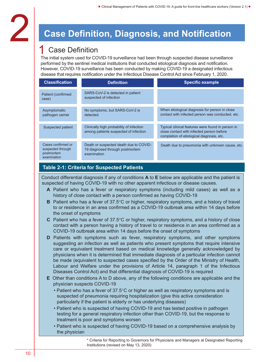## **Case Definition, Diagnosis, and Notification**

### **Case Definition**

The initial system used for COVID-19 surveillance had been through suspected disease surveillance performed by the sentinel medical institutions that conducted etiological diagnosis and notification. However, COVID-19 surveillance has been conducted by making COVID-19 a designated infectious disease that requires notification under the Infectious Disease Control Act since February 1, 2020.

| <b>Classification</b>                                                | <b>Definition</b>                                                                        | <b>Specific example</b>                                                                                                                     |
|----------------------------------------------------------------------|------------------------------------------------------------------------------------------|---------------------------------------------------------------------------------------------------------------------------------------------|
| Patient (confirmed<br>case)                                          | SARS-CoV-2 is detected in patient<br>suspected of infection                              |                                                                                                                                             |
| Asymptomatic<br>pathogen carrier                                     | No symptoms, but SARS-CoV-2 is<br>detected                                               | When etiological diagnosis for person in close<br>contact with infected person was conducted, etc.                                          |
| Suspected patient                                                    | Clinically high probability of infection<br>among patients suspected of infection        | Typical clinical features were found in person in<br>close contact with infected person before<br>completion of etiological diagnosis, etc. |
| Cases confirmed or<br>suspected through<br>postmortem<br>examination | Death or suspected death due to COVID-<br>19 diagnosed through postmortem<br>examination | Death due to pneumonia with unknown cause, etc.                                                                                             |

### Table 2-1: Criteria for Suspected Patients

Conduct differential diagnosis if any of conditions  $A$  to  $E$  below are applicable and the patient is suspected of having COVID-19 with no other apparent infectious or disease causes.

- A Patient who has a fever or respiratory symptoms (including mild cases) as well as a history of close contact with a person confirmed as having COVID-19
- **B** Patient who has a fever of  $37.5^{\circ}$ C or higher, respiratory symptoms, and a history of travel to or residence in an area confirmed as a COVID-19 outbreak area within 14 days before the onset of symptoms
- C Patient who has a fever of  $37.5^{\circ}$ C or higher, respiratory symptoms, and a history of close contact with a person having a history of travel to or residence in an area confirmed as a COVID-19 outbreak area within 14 days before the onset of symptoms
- D Patients with symptoms such as fever, respiratory symptoms, and other symptoms suggesting an infection as well as patients who present symptoms that require intensive care or equivalent treatment based on medical knowledge generally acknowledged by physicians when it is determined that immediate diagnosis of a particular infection cannot be made (equivalent to suspected cases specified by the Order of the Ministry of Health, Labour and Welfare under the provisions of Article 14, paragraph 1 of the Infectious Diseases Control Act) and that differential diagnosis of COVID-19 is required
- E Other than conditions A to D above, any of the following conditions are applicable and the physician suspects COVID-19
	- Patient who has a fever of  $37.5^{\circ}$ C or higher as well as respiratory symptoms and is suspected of pneumonia requiring hospitalization (give this active consideration particularly if the patient is elderly or has underlying diseases)
	- Patient who is suspected of having COVID-19 and has tested positive in pathogen testing for a general respiratory infection other than COVID-19, but the response to treatment is poor and symptoms worsen
	- Patient who is suspected of having COVID-19 based on a comprehensive analysis by the physician

\* Criteria for Reporting to Governors for Physicians and Managers at Designated Reporting Institutions (revised on May 13, 2020)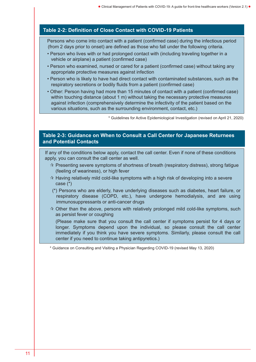### Table 2-2: Definition of Close Contact with COVID-19 Patients

Persons who come into contact with a patient (confirmed case) during the infectious period (from 2 days prior to onset) are defined as those who fall under the following criteria.

- Person who lives with or had prolonged contact with (including traveling together in a vehicle or airplane) a patient (confirmed case)
- Person who examined, nursed or cared for a patient (confirmed case) without taking any appropriate protective measures against infection
- Person who is likely to have had direct contact with contaminated substances, such as the respiratory secretions or bodily fluids from a patient (confirmed case)
- Other: Person having had more than 15 minutes of contact with a patient (confirmed case) within touching distance (about 1 m) without taking the necessary protective measures against infection (comprehensively determine the infectivity of the patient based on the various situations, such as the surrounding environment, contact, etc.)

\* Guidelines for Active Epidemiological Investigation (revised on April 21, 2020)

### Table 2-3: Guidance on When to Consult a Call Center for Japanese Returnees and Potential Contacts

If any of the conditions below apply, contact the call center. Even if none of these conditions apply, you can consult the call center as well.

- $\dot{\varphi}$  Presenting severe symptoms of shortness of breath (respiratory distress), strong fatigue (feeling of weariness), or high fever
- $\dot{\mathcal{A}}$  Having relatively mild cold-like symptoms with a high risk of developing into a severe case (\*)
- (\*) Persons who are elderly, have underlying diseases such as diabetes, heart failure, or respiratory disease (COPD, etc.), have undergone hemodialysis, and are using immunosuppressants or anti-cancer drugs
- $\dot{\mathbf{x}}$  Other than the above, persons with relatively prolonged mild cold-like symptoms, such as persist fever or coughing

(Please make sure that you consult the call center if symptoms persist for 4 days or longer. Symptoms depend upon the individual, so please consult the call center immediately if you think you have severe symptoms. Similarly, please consult the call center if you need to continue taking antipyretics.)

\* Guidance on Consulting and Visiting a Physician Regarding COVID-19 (revised May 13, 2020)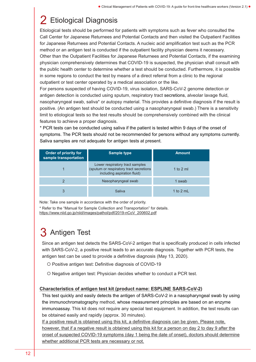### 2 Etiological Diagnosis

Etiological tests should be performed for patients with symptoms such as fever who consulted the Call Center for Japanese Returnees and Potential Contacts and then visited the Outpatient Facilities for Japanese Returnees and Potential Contacts. A nucleic acid amplification test such as the PCR method or an antigen test is conducted if the outpatient facility physician deems it necessary. Other than the Outpatient Facilities for Japanese Returnees and Potential Contacts, if the examining physician comprehensively determines that COVID-19 is suspected, the physician shall consult with the public health center to determine whether a test should be conducted. Furthermore, it is possible in some regions to conduct the test by means of a direct referral from a clinic to the regional outpatient or test center operated by a medical association or the like.

For persons suspected of having COVID-19, virus isolation, SARS-CoV-2 genome detection or antigen detection is conducted using sputum, respiratory tract secretions, alveolar lavage fluid, nasopharyngeal swab, saliva\* or autopsy material. This provides a definitive diagnosis if the result is positive. (An antigen test should be conducted using a nasopharyngeal swab.) There is a sensitivity limit to etiological tests so the test results should be comprehensively combined with the clinical features to achieve a proper diagnosis.

\* PCR tests can be conducted using saliva if the patient is tested within 9 days of the onset of symptoms. The PCR tests should not be recommended for persons without any symptoms currently. Saliva samples are not adequate for antigen tests at present.

| Order of priority for<br>sample transportation | <b>Sample type</b>                                                                                        | <b>Amount</b> |
|------------------------------------------------|-----------------------------------------------------------------------------------------------------------|---------------|
|                                                | Lower respiratory tract samples<br>(sputum or respiratory tract secretions<br>including aspiration fluid) | 1 to 2 ml     |
|                                                | Nasopharyngeal swab                                                                                       | 1 swab        |
| 3                                              | Saliva                                                                                                    | 1 to 2 mL     |

Note: Take one sample in accordance with the order of priority.

\* Refer to the "Manual for Sample Collection and Transportation" for details.

[https://www.niid.go.jp/niid/images/pathol/pdf/2019-nCoV\\_200602.pdf](http://www.niid.go.jp/niid/images/pathol/pdf/2019-nCoV_200602.pdf)

### 3 Antigen Test

Since an antigen test detects the SARS-CoV-2 antigen that is specifically produced in cells infected with SARS-CoV-2, a positive result leads to an accurate diagnosis. Together with PCR tests, the antigen test can be used to provide a definitive diagnosis (May 13, 2020).

- Positive antigen test: Definitive diagnosis of COVID-19
- O Negative antigen test: Physician decides whether to conduct a PCR test.

#### Characteristics of antigen test kit (product name: ESPLINE SARS-CoV-2)

This test quickly and easily detects the antigen of SARS-CoV-2 in a nasopharyngeal swab by using the immunochromatography method, whose measurement principles are based on an enzyme immunoassay. This kit does not require any special test equipment. In addition, the test results can be obtained easily and rapidly (approx. 30 minutes).

If a positive result is obtained using this kit, a definitive diagnosis can be given. Please note, however, that if a negative result is obtained using this kit for a person on day 2 to day 9 after the onset of suspected COVID-19 symptoms (day 1 being the date of onset), doctors should determine whether additional PCR tests are necessary or not.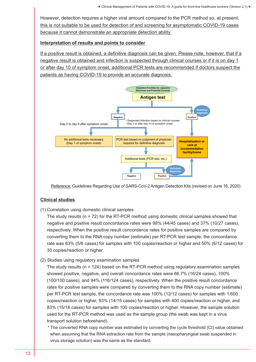However, detection requires a higher viral amount compared to the PCR method so, at present, this is not suitable to be used for detection of and screening for asymptomatic COVID-19 cases because it cannot demonstrate an appropriate detection ability.

#### Interpretation of results and points to consider

If a positive result is obtained, a definitive diagnosis can be given. Please note, however, that if a negative result is obtained and infection is suspected through clinical courses or if it is on day 1 or after day 10 of symptom onset, additional PCR tests are recommended if doctors suspect the patients as having COVID-19 to provide an accurate diagnosis.



Reference: Guidelines Regarding Use of SARS-CoV-2 Antigen Detection Kits (revised on June 16, 2020)

#### Clinical studies

(1) Correlation using domestic clinical samples

The study results ( $n = 72$ ) for the RT-PCR method using domestic clinical samples showed that negative and positive result concordance rates were 98% (44/45 cases) and 37% (10/27 cases), respectively. When the positive result concordance rates for positive samples are compared by converting them to the RNA copy number (estimate) per RT-PCR test sample, the concordance rate was 83% (5/6 cases) for samples with 100 copies/reaction or higher and 50% (6/12 cases) for 30 copies/reaction or higher.

(2) Studies using regulatory examination samples

The study results (n = 124) based on the RT-PCR method using regulatory examination samples showed positive, negative, and overall concordance rates were 66.7% (16/24 cases), 100% (100/100 cases), and 94% (116/124 cases), respectively. When the positive result concordance rates for positive samples were compared by converting them to the RNA copy number (estimate) per RT-PCR test sample, the concordance rate was 100% (12/12 cases) for samples with 1,600 copies/reaction or higher, 93% (14/15 cases) for samples with 400 copies/reaction or higher, and 83% (15/18 cases) for samples with 100 copies/reaction or higher. However, the sample solution used for the RT-PCR method was used as the sample group (the swab was kept in a virus transport solution beforehand).

\* The converted RNA copy number was estimated by converting the cycle threshold (Ct) value obtained when assuming that the RNA extraction rate from the sample (nasopharyngeal swab suspended in virus storage solution) was the same as the standard.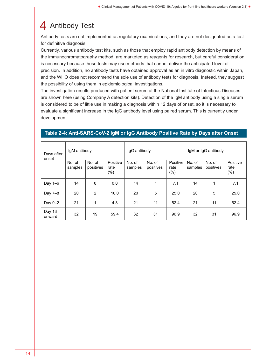### 4 Antibody Test

Antibody tests are not implemented as regulatory examinations, and they are not designated as a test for definitive diagnosis.

Currently, various antibody test kits, such as those that employ rapid antibody detection by means of the immunochromatography method, are marketed as reagents for research, but careful consideration is necessary because these tests may use methods that cannot deliver the anticipated level of precision. In addition, no antibody tests have obtained approval as an in vitro diagnostic within Japan, and the WHO does not recommend the sole use of antibody tests for diagnosis. Instead, they suggest the possibility of using them in epidemiological investigations.

The investigation results produced with patient serum at the National Institute of Infectious Diseases are shown here (using Company A detection kits). Detection of the IgM antibody using a single serum is considered to be of little use in making a diagnosis within 12 days of onset, so it is necessary to evaluate a significant increase in the IgG antibody level using paired serum. This is currently under development.

| Days after<br>onset | IgM antibody      |                     |                             | IgG antibody      |                     |                             | IgM or IgG antibody |                     |                             |  |
|---------------------|-------------------|---------------------|-----------------------------|-------------------|---------------------|-----------------------------|---------------------|---------------------|-----------------------------|--|
|                     | No. of<br>samples | No. of<br>positives | Positive<br>rate<br>$(\% )$ | No. of<br>samples | No. of<br>positives | Positive<br>rate<br>$(\% )$ | No. of<br>samples   | No. of<br>positives | Positive<br>rate<br>$(\% )$ |  |
| Day $1-6$           | 14                | 0                   | 0.0                         | 14                | 1                   | 7.1                         | 14                  | 1                   | 7.1                         |  |
| Day 7-8             | 20                | 2                   | 10.0                        | 20                | 5                   | 25.0                        | 20                  | 5                   | 25.0                        |  |
| Day 9-2             | 21                | 1                   | 4.8                         | 21                | 11                  | 52.4                        | 21                  | 11                  | 52.4                        |  |
| Day 13<br>onward    | 32                | 19                  | 59.4                        | 32                | 31                  | 96.9                        | 32                  | 31                  | 96.9                        |  |

### Table 2-4: Anti-SARS-CoV-2 IgM or IgG Antibody Positive Rate by Days after Onset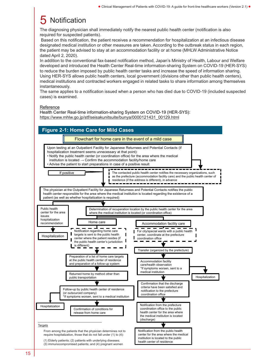### **Notification**

The diagnosing physician shall immediately notify the nearest public health center (notification is also required for suspected patients).

Based on this notification, the patient receives a recommendation for hospitalization at an infectious disease designated medical institution or other measures are taken. According to the outbreak status in each region, the patient may be advised to stay at an accommodation facility or at home (MHLW Administrative Notice dated April 2, 2020).

In addition to the conventional fax-based notification method, Japan's Ministry of Health, Labour and Welfare developed and introduced the Health Center Real-time information-sharing System on COVID-19 (HER-SYS) to reduce the burden imposed by public health center tasks and increase the speed of information sharing. Using HER-SYS allows public health centers, local government (divisions other than public health centers), medical institutions and contracted workers engaged in related tasks to share information among themselves instantaneously.

The same applies to a notification issued when a person who has died due to COVID-19 (included suspected cases) is examined.

#### Reference

Health Center Real-time information-sharing System on COVID-19 (HER-SYS): [https://www.mhlw.go.jp/stf/seisakunitsuite/bunya/0000121431\\_00129.html](https://www.mhlw.go.jp/stf/seisakunitsuite/bunya/0000121431_00129.html)

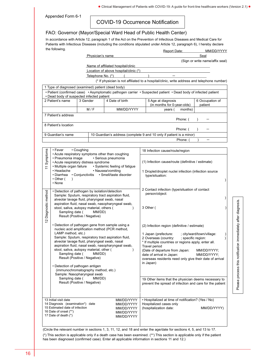Appended Form 6-1

### COVID-19 Occurrence Notification

#### FAO: Governor (Mayor/Special Ward Head of Public Health Center)

In accordance with Article 12, paragraph 1 of the Act on the Prevention of Infectious Diseases and Medical Care for  $MMDDNN$ Patients with Infectious Diseases (including the conditions stipulated under Article 12, paragraph 6), I hereby declare the following.

|                      |                                                                        |            |                   |                                                     | Report Date:                                                                                                   | MM/DD/YYYY                      |
|----------------------|------------------------------------------------------------------------|------------|-------------------|-----------------------------------------------------|----------------------------------------------------------------------------------------------------------------|---------------------------------|
|                      |                                                                        |            | Physician's name  |                                                     |                                                                                                                | Seal                            |
|                      |                                                                        |            |                   |                                                     |                                                                                                                | (Sign or write name/affix seal) |
|                      |                                                                        |            |                   | Name of affiliated hospital/clinic                  |                                                                                                                |                                 |
|                      |                                                                        |            | Telephone No. (*) | Location of above hospital/clinic (*)               |                                                                                                                |                                 |
|                      |                                                                        |            |                   |                                                     | (* If physician is not affiliated to a hospital/clinic, write address and telephone number)                    |                                 |
|                      |                                                                        |            |                   |                                                     |                                                                                                                |                                 |
|                      | 1 Type of diagnosed (examined) patient (dead body)                     |            |                   |                                                     |                                                                                                                |                                 |
|                      | • Dead body of suspected infected patient                              |            |                   |                                                     | · Patient (confirmed case) · Asymptomatic pathogen carrier · Suspected patient · Dead body of infected patient |                                 |
|                      | 2 Patient's name                                                       | 3 Gender   |                   | 4 Date of birth                                     | 5 Age at diagnosis<br>(in months for 0-year-olds)                                                              | 6 Occupation of<br>patient      |
|                      |                                                                        |            | M/F               | MM/DD/YYYY                                          | years (<br>months)                                                                                             |                                 |
|                      | 7 Patient's address                                                    |            |                   |                                                     |                                                                                                                |                                 |
|                      | 8 Patient's location                                                   |            |                   |                                                     | Phone: (                                                                                                       |                                 |
|                      |                                                                        |            |                   |                                                     | Phone: (                                                                                                       | $\mathcal{E}$                   |
|                      | 9 Guardian's name                                                      |            |                   |                                                     | 10 Guardian's address (complete 9 and 10 only if patient is a minor)                                           |                                 |
|                      |                                                                        |            |                   |                                                     | Phone: (                                                                                                       |                                 |
|                      | • Fever                                                                |            |                   |                                                     |                                                                                                                |                                 |
|                      |                                                                        | • Coughing |                   | • Acute respiratory symptoms other than coughing    | 18 Infection cause/route/region                                                                                |                                 |
| 11 Symptoms          | • Pneumonia image                                                      |            |                   | · Serious pneumonia                                 |                                                                                                                |                                 |
|                      | • Acute respiratory distress syndrome<br>• Multiple organ failure      |            |                   | • Systemic feeling of fatigue                       | (1) Infection cause/route (definitive / estimate)                                                              |                                 |
|                      | • Headache                                                             |            |                   | • Nausea/vomiting                                   | 1 Droplet/droplet nuclei infection (infection source                                                           |                                 |
|                      | • Diarrhea • Conjunctivitis                                            |            |                   | · Smell/taste disorder                              | type/situation:                                                                                                |                                 |
|                      | $\cdot$ Other (<br>$\lambda$                                           |            |                   |                                                     |                                                                                                                |                                 |
|                      | • None                                                                 |            |                   |                                                     |                                                                                                                |                                 |
|                      | • Detection of pathogen by isolation/detection                         |            |                   |                                                     | 2 Contact infection (type/situation of contact                                                                 |                                 |
|                      |                                                                        |            |                   | Sample: Sputum, respiratory tract aspiration fluid, | person/object:                                                                                                 |                                 |
|                      | alveolar lavage fluid, pharyngeal swab, nasal                          |            |                   | aspiration fluid, nasal swab, nasopharyngeal swab,  |                                                                                                                |                                 |
|                      | stool, saliva, autopsy material, others (                              |            |                   |                                                     | 3 Other (                                                                                                      |                                 |
|                      | Sampling date (                                                        |            | MM/DD)            |                                                     |                                                                                                                |                                 |
| 12 Diagnostic method | Result (Positive / Negative)                                           |            |                   |                                                     |                                                                                                                |                                 |
|                      |                                                                        |            |                   | • Detection of pathogen gene from sample using a    | (2) Infection region (definitive / estimate)                                                                   |                                 |
|                      |                                                                        |            |                   | nucleic acid amplification method (PCR method,      |                                                                                                                |                                 |
|                      | LAMP method, etc.)                                                     |            |                   | Sample: Sputum, respiratory tract aspiration fluid, | 1 Japan (prefecture:<br>2 Overseas (country:<br>; specific region:                                             | ; city/ward/town/village:       |
|                      | alveolar lavage fluid, pharyngeal swab, nasal                          |            |                   |                                                     | * If multiple countries or regions apply, enter all.                                                           |                                 |
|                      |                                                                        |            |                   | aspiration fluid, nasal swab, nasopharyngeal swab,  | Travel period                                                                                                  |                                 |
|                      | stool, saliva, autopsy material, other (<br>Sampling date (            |            | MM/DD)            |                                                     | (Date of departure from Japan:                                                                                 | MM/DD/YYYY;                     |
|                      | Result (Positive / Negative)                                           |            |                   |                                                     | date of arrival in Japan:<br>overseas residents need only give their date of arrival                           | MM/DD/YYYY;                     |
|                      |                                                                        |            |                   |                                                     | in Japan)                                                                                                      |                                 |
|                      | • Detection of pathogen antigen<br>(immunochromatography method, etc.) |            |                   |                                                     |                                                                                                                |                                 |
|                      | Sample: Nasopharyngeal swab                                            |            |                   |                                                     |                                                                                                                |                                 |
|                      | Sampling date (                                                        |            | MM/DD)            |                                                     | 19 Other items that the physician deems necessary to                                                           |                                 |
|                      | Result (Positive / Negative)                                           |            |                   |                                                     | prevent the spread of infection and care for the patient                                                       |                                 |
|                      |                                                                        |            |                   |                                                     |                                                                                                                |                                 |
|                      | 13 Initial visit date                                                  |            |                   | MM/DD/YYYY                                          | • Hospitalized at time of notification? (Yes / No)                                                             |                                 |
|                      | 14 Diagnosis (examination*) date<br>15 Estimated date of infection     |            |                   | MM/DD/YYYY                                          | Hospitalized cases only                                                                                        |                                 |
|                      | 16 Date of onset (**)                                                  |            |                   | MM/DD/YYYY<br>MM/DD/YYYY                            | (hospitalization date:                                                                                         | MM/DD/YYYY)                     |
|                      | 17 Date of death (*)                                                   |            |                   | MM/DD/YYYY                                          |                                                                                                                |                                 |
|                      |                                                                        |            |                   |                                                     |                                                                                                                |                                 |
|                      |                                                                        |            |                   |                                                     |                                                                                                                |                                 |

(Circle the relevant number in sections 1, 3, 11, 12, and 18 and enter the age/date for sections 4, 5, and 13 to 17. (\*) This section is applicable only if a death case has been examined. (\*\*) This section is applicable only if the patient has been diagnosed (confirmed case). Enter all applicable information in sections 11 and 12.)

Please process this notification immediately after diagnosis. Please process this notification immediately after diagnosis.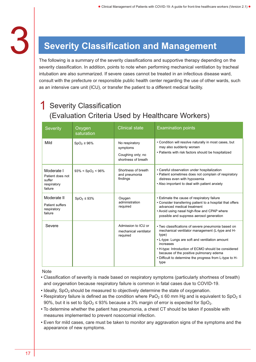

# **3 Severity Classification and Management**

The following is a summary of the severity classifications and supportive therapy depending on the severity classification. In addition, points to note when performing mechanical ventilation by tracheal intubation are also summarized. If severe cases cannot be treated in an infectious disease ward, consult with the prefecture or responsible public health center regarding the use of other wards, such as an intensive care unit (ICU), or transfer the patient to a different medical facility.

### **Severity Classification** (Evaluation Criteria Used by Healthcare Workers)

| Severity                                                           | Oxygen<br>saturation | <b>Clinical state</b>                                                  | <b>Examination points</b>                                                                                                                                                                                                                                                                                                                           |
|--------------------------------------------------------------------|----------------------|------------------------------------------------------------------------|-----------------------------------------------------------------------------------------------------------------------------------------------------------------------------------------------------------------------------------------------------------------------------------------------------------------------------------------------------|
| Mild                                                               | $SpO2 \ge 96\%$      | No respiratory<br>symptoms<br>Coughing only; no<br>shortness of breath | • Condition will resolve naturally in most cases, but<br>may also suddenly worsen<br>• Patients with risk factors should be hospitalized                                                                                                                                                                                                            |
| Moderate I<br>Patient does not<br>suffer<br>respiratory<br>failure | $93\% < SpO2 < 96\%$ | Shortness of breath<br>and pneumonia<br>findings                       | • Careful observation under hospitalization<br>• Patient sometimes does not complain of respiratory<br>distress even with hypoxemia<br>• Also important to deal with patient anxiety                                                                                                                                                                |
| Moderate II<br><b>Patient suffers</b><br>respiratory<br>failure    | $SpO2 \leq 93\%$     | Oxygen<br>administration<br>required                                   | • Estimate the cause of respiratory failure<br>• Consider transferring patient to a hospital that offers<br>advanced medical treatment<br>• Avoid using nasal high-flow and CPAP where<br>possible and suppress aerosol generation                                                                                                                  |
| Severe                                                             |                      | Admission to ICU or<br>mechanical ventilator<br>required               | · Two classifications of severe pneumonia based on<br>mechanical ventilator management (L-type and H-<br>type)<br>• L-type: Lungs are soft and ventilation amount<br>increases<br>• H-type: Introduction of ECMO should be considered<br>because of the positive pulmonary edema<br>. Difficult to determine the progress from L-type to H-<br>type |

**Note** 

- Classification of severity is made based on respiratory symptoms (particularly shortness of breath) and oxygenation because respiratory failure is common in fatal cases due to COVID-19.
- $\cdot$  Ideally, SpO<sub>2</sub> should be measured to objectively determine the state of oxygenation.
- Respiratory failure is defined as the condition where PaO<sub>2</sub>  $\leq$  60 mm Hg and is equivalent to SpO<sub>2</sub>  $\leq$ 90%, but it is set to  $SpO<sub>2</sub> \le 93\%$  because a 3% margin of error is expected for  $SpO<sub>2</sub>$ .
- To determine whether the patient has pneumonia, a chest CT should be taken if possible with measures implemented to prevent nosocomial infection.
- Even for mild cases, care must be taken to monitor any aggravation signs of the symptoms and the appearance of new symptoms.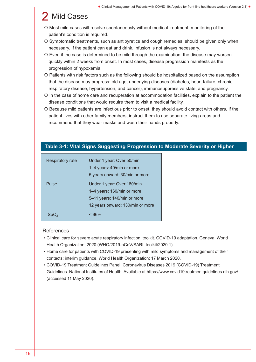### **Mild Cases**

- O Most mild cases will resolve spontaneously without medical treatment; monitoring of the patient's condition is required.
- O Symptomatic treatments, such as antipyretics and cough remedies, should be given only when necessary. If the patient can eat and drink, infusion is not always necessary.
- Even if the case is determined to be mild through the examination, the disease may worsen quickly within 2 weeks from onset. In most cases, disease progression manifests as the progression of hypoxemia.
- Patients with risk factors such as the following should be hospitalized based on the assumption that the disease may progress: old age, underlying diseases (diabetes, heart failure, chronic respiratory disease, hypertension, and cancer), immunosuppressive state, and pregnancy.
- In the case of home care and recuperation at accommodation facilities, explain to the patient the disease conditions that would require them to visit a medical facility.
- Because mild patients are infectious prior to onset, they should avoid contact with others. If the patient lives with other family members, instruct them to use separate living areas and recommend that they wear masks and wash their hands properly.

| Respiratory rate | Under 1 year: Over 50/min        |
|------------------|----------------------------------|
|                  | 1-4 years: 40/min or more        |
|                  | 5 years onward: 30/min or more   |
| Pulse            | Under 1 year: Over 180/min       |
|                  | 1-4 years: 160/min or more       |
|                  | 5-11 years: 140/min or more      |
|                  | 12 years onward: 130/min or more |
|                  | $< 96\%$                         |

### Table 3-1: Vital Signs Suggesting Progression to Moderate Severity or Higher

#### References

- Clinical care for severe acute respiratory infection: toolkit. COVID-19 adaptation. Geneva: World Health Organization; 2020 (WHO/2019-nCoV/SARI\_toolkit/2020.1).
- Home care for patients with COVID-19 presenting with mild symptoms and management of their contacts: interim guidance. World Health Organization; 17 March 2020.
- COVID-19 Treatment Guidelines Panel. Coronavirus Diseases 2019 (COVID-19) Treatment Guidelines. National Institutes of Health. Available at [https://www.covid19treatmentguidelines.nih.gov/](http://www.covid19treatmentguidelines.nih.gov/)  (accessed 11 May 2020).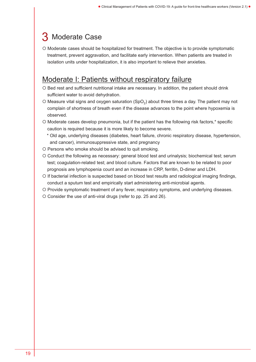### 3 Moderate Case

O Moderate cases should be hospitalized for treatment. The objective is to provide symptomatic treatment, prevent aggravation, and facilitate early intervention. When patients are treated in isolation units under hospitalization, it is also important to relieve their anxieties.

### Moderate I: Patients without respiratory failure

- O Bed rest and sufficient nutritional intake are necessary. In addition, the patient should drink sufficient water to avoid dehydration.
- O Measure vital signs and oxygen saturation (SpO<sub>2</sub>) about three times a day. The patient may not complain of shortness of breath even if the disease advances to the point where hypoxemia is observed.
- O Moderate cases develop pneumonia, but if the patient has the following risk factors,\* specific caution is required because it is more likely to become severe.
	- \* Old age, underlying diseases (diabetes, heart failure, chronic respiratory disease, hypertension, and cancer), immunosuppressive state, and pregnancy
- Persons who smoke should be advised to quit smoking.
- Conduct the following as necessary: general blood test and urinalysis; biochemical test; serum test; coagulation-related test; and blood culture. Factors that are known to be related to poor prognosis are lymphopenia count and an increase in CRP, ferritin, D-dimer and LDH.
- O If bacterial infection is suspected based on blood test results and radiological imaging findings, conduct a sputum test and empirically start administering anti-microbial agents.
- O Provide symptomatic treatment of any fever, respiratory symptoms, and underlying diseases.
- O Consider the use of anti-viral drugs (refer to pp. 25 and 26).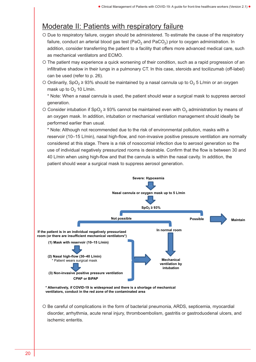### Moderate II: Patients with respiratory failure

- Due to respiratory failure, oxygen should be administered. To estimate the cause of the respiratory failure, conduct an arterial blood gas test (PaO<sub>2</sub> and PaCO<sub>2</sub>) prior to oxygen administration. In addition, consider transferring the patient to a facility that offers more advanced medical care, such as mechanical ventilators and ECMO.
- O The patient may experience a quick worsening of their condition, such as a rapid progression of an infiltrative shadow in their lungs in a pulmonary CT. In this case, steroids and tocilizumab (off-label) can be used (refer to p. 26).
- O Ordinarily, SpO<sub>2</sub>  $\geq$  93% should be maintained by a nasal cannula up to O<sub>2</sub> 5 L/min or an oxygen mask up to  $O<sub>2</sub>$  10 L/min.

\* Note: When a nasal cannula is used, the patient should wear a surgical mask to suppress aerosol generation.

O Consider intubation if SpO<sub>2</sub>  $\geq$  93% cannot be maintained even with O<sub>2</sub> administration by means of an oxygen mask. In addition, intubation or mechanical ventilation management should ideally be performed earlier than usual.

\* Note: Although not recommended due to the risk of environmental pollution, masks with a reservoir (10–15 L/min), nasal high-flow, and non-invasive positive pressure ventilation are normally considered at this stage. There is a risk of nosocomial infection due to aerosol generation so the use of individual negatively pressurized rooms is desirable. Confirm that the flow is between 30 and 40 L/min when using high-flow and that the cannula is within the nasal cavity. In addition, the patient should wear a surgical mask to suppress aerosol generation.



 Be careful of complications in the form of bacterial pneumonia, ARDS, septicemia, myocardial disorder, arrhythmia, acute renal injury, thromboembolism, gastritis or gastroduodenal ulcers, and ischemic enteritis.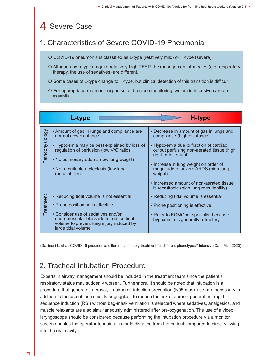### 4 Severe Case

### 1. Characteristics of Severe COVID-19 Pneumonia

COVID-19 pneumonia is classified as L-type (relatively mild) or H-type (severe).

- Although both types require relatively high PEEP, the management strategies (e.g. respiratory therapy, the use of sedatives) are different.
- O Some cases of L-type change to H-type, but clinical detection of this transition is difficult.
- For appropriate treatment, expertise and a close monitoring system in intensive care are essential.

|                 | <b>L-type</b>                                                                                                                                                                                                                                                           | <b>H-type</b>                                                                                                                                                                                                                                                                                                                                                              |
|-----------------|-------------------------------------------------------------------------------------------------------------------------------------------------------------------------------------------------------------------------------------------------------------------------|----------------------------------------------------------------------------------------------------------------------------------------------------------------------------------------------------------------------------------------------------------------------------------------------------------------------------------------------------------------------------|
| Pathophysiology | • Amount of gas in lungs and compliance are<br>normal (low elastance)<br>• Hypoxemia may be best explained by loss of<br>regulation of perfusion (low V/Q ratio)<br>• No pulmonary edema (low lung weight)<br>• No recruitable atelectasis (low lung<br>recruitability) | • Decrease in amount of gas in lungs and<br>compliance (high elastance)<br>• Hypoxemia due to fraction of cardiac<br>output perfusing non-aerated tissue (high<br>right-to-left shunt)<br>• Increase in lung weight on order of<br>magnitude of severe ARDS (high lung<br>weight)<br>• Increased amount of non-aerated tissue<br>is recruitable (high lung recruitability) |
| Treatment       | • Reducing tidal volume is not essential<br>• Prone positioning is effective<br>• Consider use of sedatives and/or<br>neuromuscular blockade to reduce tidal<br>volume to prevent lung injury induced by<br>large tidal volume                                          | • Reducing tidal volume is essential<br>• Prone positioning is effective<br>• Refer to ECMOnet specialist because<br>hypoxemia is generally refractory                                                                                                                                                                                                                     |

(Gattinoni L, et al. COVID-19 pneumonia: different respiratory treatment for different phenotypes? Intensive Care Med 2020)

### 2. Tracheal Intubation Procedure

Experts in airway management should be included in the treatment team since the patient's respiratory status may suddenly worsen. Furthermore, it should be noted that intubation is a procedure that generates aerosol, so airborne infection prevention (N95 mask use) are necessary in addition to the use of face shields or goggles. To reduce the risk of aerosol generation, rapid sequence induction (RSI) without bag-mask ventilation is selected where sedatives, analgesics, and muscle relaxants are also simultaneously administered after pre-oxygenation. The use of a video laryngoscope should be considered because performing the intubation procedure via a monitor screen enables the operator to maintain a safe distance from the patient compared to direct viewing into the oral cavity.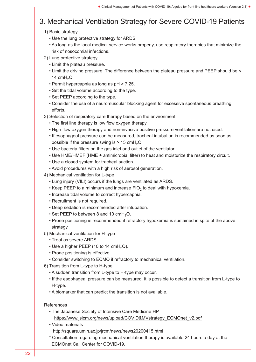### 3. Mechanical Ventilation Strategy for Severe COVID-19 Patients

#### 1) Basic strategy

- Use the lung protective strategy for ARDS.
- As long as the local medical service works properly, use respiratory therapies that minimize the risk of nosocomial infections.
- 2) Lung protective strategy
	- Limit the plateau pressure.
	- Limit the driving pressure: The difference between the plateau pressure and PEEP should be < 14  $cmH<sub>2</sub>O$ .
	- Permit hypercapnia as long as pH > 7.25.
	- Set the tidal volume according to the type.
	- Set PEEP according to the type.
	- Consider the use of a neuromuscular blocking agent for excessive spontaneous breathing efforts.
- 3) Selection of respiratory care therapy based on the environment
	- The first line therapy is low flow oxygen therapy.
	- High flow oxygen therapy and non-invasive positive pressure ventilation are not used.
	- If esophageal pressure can be measured, tracheal intubation is recommended as soon as possible if the pressure swing is  $> 15$  cmH<sub>2</sub>O.
	- Use bacteria filters on the gas inlet and outlet of the ventilator.
	- Use HME/HMEF (HME + antimicrobial filter) to heat and moisturize the respiratory circuit.
	- Use a closed system for tracheal suction.
	- Avoid procedures with a high risk of aerosol generation.
- 4) Mechanical ventilation for L-type
	- Lung injury (VILI) occurs if the lungs are ventilated as ARDS.
	- Keep PEEP to a minimum and increase  $FIO<sub>2</sub>$  to deal with hypoxemia.
	- Increase tidal volume to correct hypercapnia.
	- Recruitment is not required.
	- Deep sedation is recommended after intubation.
	- Set PEEP to between 8 and 10  $cmH<sub>2</sub>O$ .
	- Prone positioning is recommended if refractory hypoxemia is sustained in spite of the above strategy.
- 5) Mechanical ventilation for H-type
	- Treat as severe ARDS.
	- $\cdot$  Use a higher PEEP (10 to 14 cmH<sub>2</sub>O).
	- Prone positioning is effective.
	- Consider switching to ECMO if refractory to mechanical ventilation.
- 6) Transition from L-type to H-type
	- A sudden transition from L-type to H-type may occur.
	- If the esophageal pressure can be measured, it is possible to detect a transition from L-type to H-type.
	- A biomarker that can predict the transition is not available.

#### **References**

- The Japanese Society of Intensive Care Medicine HP [https://www.jsicm.org/news/upload/COVID&MVstrategy\\_ECMOnet\\_v2.pdf](https://www.jsicm.org/news/upload/COVID&MVstrategy_ECMOnet_v2.pdf)
- Video materials
	- <http://square.umin.ac.jp/jrcm/news/news20200415.html>
- \* Consultation regarding mechanical ventilation therapy is available 24 hours a day at the ECMOnet Call Center for COVID-19.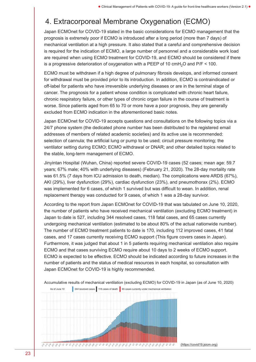### 4. Extracorporeal Membrane Oxygenation (ECMO)

Japan ECMOnet for COVID-19 stated in the basic considerations for ECMO management that the prognosis is extremely poor if ECMO is introduced after a long period (more than 7 days) of mechanical ventilation at a high pressure. It also stated that a careful and comprehensive decision is required for the indication of ECMO, a large number of personnel and a considerable work load are required when using ECMO treatment for COVID-19, and ECMO should be considered if there is a progressive deterioration of oxygenation with a PEEP of 10  $\text{cm}$ H<sub>2</sub>O and P/F < 100.

ECMO must be withdrawn if a high degree of pulmonary fibrosis develops, and informed consent for withdrawal must be provided prior to its introduction. In addition, ECMO is contraindicated or off-label for patients who have irreversible underlying diseases or are in the terminal stage of cancer. The prognosis for a patient whose condition is complicated with chronic heart failure, chronic respiratory failure, or other types of chronic organ failure in the course of treatment is worse. Since patients aged from 65 to 70 or more have a poor prognosis, they are generally excluded from ECMO indication in the aforementioned basic notes.

Japan ECMOnet for COVID-19 accepts questions and consultations on the following topics via a 24/7 phone system (the dedicated phone number has been distributed to the registered email addresses of members of related academic societies) and its active use is recommended: selection of cannula; the artificial lung or pump to be used; circuit pressure monitoring; the ventilator setting during ECMO; ECMO withdrawal or DNAR; and other detailed topics related to the stable, long-term management of ECMO.

Jinyintan Hospital (Wuhan, China) reported severe COVID-19 cases (52 cases; mean age: 59.7 years; 67% male; 40% with underlying diseases) (February 21, 2020). The 28-day mortality rate was 61.5% (7 days from ICU admission to death, median). The complications were ARDS (67%), AKI (29%), liver dysfunction (29%), cardiac dysfunction (23%), and pneumothorax (2%). ECMO was implemented for 6 cases, of which 1 survived but was difficult to wean. In addition, renal replacement therapy was conducted for 9 cases, of which 1 was a 28-day survivor.

According to the report from Japan ECMOnet for COVID-19 that was tabulated on June 10, 2020, the number of patients who have received mechanical ventilation (excluding ECMO treatment) in Japan to date is 527, including 344 resolved cases, 118 fatal cases, and 65 cases currently undergoing mechanical ventilation (estimated to be about 80% of the actual nationwide number). The number of ECMO treatment patients to date is 170, including 112 improved cases, 41 fatal cases, and 17 cases currently receiving ECMO support (This figure covers cases in Japan). Furthermore, it was judged that about 1 in 5 patients requiring mechanical ventilation also require ECMO and that cases surviving ECMO require about 10 days to 2 weeks of ECMO support. ECMO is expected to be effective. ECMO should be indicated according to future increases in the number of patients and the status of medical resources in each hospital, so consultation with Japan ECMOnet for COVID-19 is highly recommended.



Accumulative results of mechanical ventilation (excluding ECMO) for COVID-19 in Japan (as of June 10, 2020)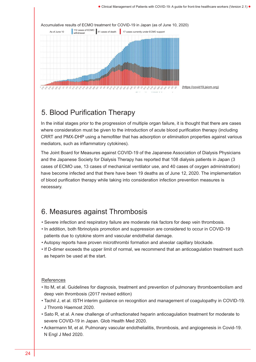

### 5. Blood Purification Therapy

In the initial stages prior to the progression of multiple organ failure, it is thought that there are cases where consideration must be given to the introduction of acute blood purification therapy (including CRRT and PMX-DHP using a hemofilter that has adsorption or elimination properties against various mediators, such as inflammatory cytokines).

The Joint Board for Measures against COVID-19 of the Japanese Association of Dialysis Physicians and the Japanese Society for Dialysis Therapy has reported that 108 dialysis patients in Japan (3 cases of ECMO use, 13 cases of mechanical ventilator use, and 40 cases of oxygen administration) have become infected and that there have been 19 deaths as of June 12, 2020. The implementation of blood purification therapy while taking into consideration infection prevention measures is necessary.

### 6. Measures against Thrombosis

- Severe infection and respiratory failure are moderate risk factors for deep vein thrombosis.
- In addition, both fibrinolysis promotion and suppression are considered to occur in COVID-19 patients due to cytokine storm and vascular endothelial damage.
- Autopsy reports have proven microthrombi formation and alveolar capillary blockade.
- If D-dimer exceeds the upper limit of normal, we recommend that an anticoagulation treatment such as heparin be used at the start.

### References

- Ito M, et al. Guidelines for diagnosis, treatment and prevention of pulmonary thromboembolism and deep vein thrombosis (2017 revised edition)
- Tachil J, et al. ISTH interim guidance on recognition and management of coagulopathy in COVID-19. J Thromb Haemost 2020.
- Sato R, et al. A new challenge of unfractionated heparin anticoagulation treatment for moderate to severe COVID-19 in Japan. Glob Health Med 2020.
- Ackermann M, et al. Pulmonary vascular endothelialitis, thrombosis, and angiogenesis in Covid-19. N Engl J Med 2020.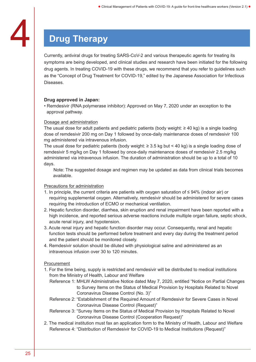### **Drug Therapy**

Currently, antiviral drugs for treating SARS-CoV-2 and various therapeutic agents for treating its symptoms are being developed, and clinical studies and research have been initiated for the following drug agents. In treating COVID-19 with these drugs, we recommend that you refer to guidelines such as the "Concept of Drug Treatment for COVID-19," edited by the Japanese Association for Infectious Diseases.

### Drug approved in Japan:

• Remdesivir (RNA polymerase inhibitor): Approved on May 7, 2020 under an exception to the approval pathway.

### Dosage and administration

The usual dose for adult patients and pediatric patients (body weight:  $\geq 40$  kg) is a single loading dose of remdesivir 200 mg on Day 1 followed by once-daily maintenance doses of remdesivir 100 mg administered via intravenous infusion.

The usual dose for pediatric patients (body weight: ≥ 3.5 kg but < 40 kg) is a single loading dose of remdesivir 5 mg/kg on Day 1 followed by once-daily maintenance doses of remdesivir 2.5 mg/kg administered via intravenous infusion. The duration of administration should be up to a total of 10 days.

Note: The suggested dosage and regimen may be updated as data from clinical trials becomes available.

#### Precautions for administration

- 1. In principle, the current criteria are patients with oxygen saturation of ≤ 94% (indoor air) or requiring supplemental oxygen. Alternatively, remdesivir should be administered for severe cases requiring the introduction of ECMO or mechanical ventilation.
- 2. Hepatic function disorder, diarrhea, skin eruption and renal impairment have been reported with a high incidence, and reported serious adverse reactions include multiple organ failure, septic shock, acute renal injury, and hypotension.
- 3. Acute renal injury and hepatic function disorder may occur. Consequently, renal and hepatic function tests should be performed before treatment and every day during the treatment period and the patient should be monitored closely.
- 4. Remdesivir solution should be diluted with physiological saline and administered as an intravenous infusion over 30 to 120 minutes.

### Procurement

- 1. For the time being, supply is restricted and remdesivir will be distributed to medical institutions from the Ministry of Health, Labour and Welfare
	- Reference 1: MHLW Administrative Notice dated May 7, 2020, entitled "Notice on Partial Changes to Survey Items on the Status of Medical Provision by Hospitals Related to Novel Coronavirus Disease Control (No. 3)"
	- Reference 2: "Establishment of the Required Amount of Remdesivir for Severe Cases in Novel Coronavirus Disease Control (Request)"
	- Reference 3: "Survey Items on the Status of Medical Provision by Hospitals Related to Novel Coronavirus Disease Control (Cooperation Request)"
- 2. The medical institution must fax an application form to the Ministry of Health, Labour and Welfare Reference 4: "Distribution of Remdesivir for COVID-19 to Medical Institutions (Request)"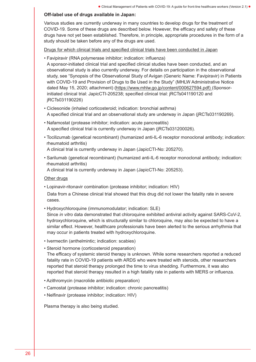#### Off-label use of drugs available in Japan:

Various studies are currently underway in many countries to develop drugs for the treatment of COVID-19. Some of these drugs are described below. However, the efficacy and safety of these drugs have not yet been established. Therefore, in principle, appropriate procedures in the form of a study should be taken before any of the drugs are used.

Drugs for which clinical trials and specified clinical trials have been conducted in Japan

• Favipiravir (RNA polymerase inhibitor; indication: influenza)

A sponsor-initiated clinical trial and specified clinical studies have been conducted, and an observational study is also currently underway. For details on participation in the observational study, see "Synopsis of the Observational Study of Avigan (Generic Name: Favipiravir) in Patients with COVID-19 and Provision of Drugs to Be Used in the Study" (MHLW Administrative Notice dated May 15, 2020; attachment) ([https://www.mhlw.go.jp/content/000627594.pdf\)](http://www.mhlw.go.jp/content/000627594.pdf) (Sponsorinitiated clinical trial: JapicCTI-205238; specified clinical trial: jRCTs041190120 and jRCTs031190226)

- Ciclesonide (inhaled corticosteroid; indication: bronchial asthma) A specified clinical trial and an observational study are underway in Japan (jRCTs031190269).
- Nafamostat (protease inhibitor; indication: acute pancreatitis) A specified clinical trial is currently underway in Japan (jRCTs031200026).
- Tocilizumab (genetical recombinant) (humanized anti-IL-6 receptor monoclonal antibody; indication: rheumatoid arthritis)

A clinical trial is currently underway in Japan (JapicCTI-No: 205270).

• Sarilumab (genetical recombinant) (humanized anti-IL-6 receptor monoclonal antibody; indication: rheumatoid arthritis)

A clinical trial is currently underway in Japan (JapicCTI-No: 205253).

#### Other drugs

• Lopinavir-ritonavir combination (protease inhibitor; indication: HIV)

Data from a Chinese clinical trial showed that this drug did not lower the fatality rate in severe cases.

• Hydroxychloroquine (immunomodulator; indication: SLE)

Since in vitro data demonstrated that chloroquine exhibited antiviral activity against SARS-CoV-2, hydroxychloroquine, which is structurally similar to chloroquine, may also be expected to have a similar effect. However, healthcare professionals have been alerted to the serious arrhythmia that may occur in patients treated with hydroxychloroquine.

- Ivermectin (anthelmintic; indication: scabies)
- Steroid hormone (corticosteroid preparation)

The efficacy of systemic steroid therapy is unknown. While some researchers reported a reduced fatality rate in COVID-19 patients with ARDS who were treated with steroids, other researchers reported that steroid therapy prolonged the time to virus shedding. Furthermore, it was also reported that steroid therapy resulted in a high fatality rate in patients with MERS or influenza.

- Azithromycin (macrolide antibiotic preparation)
- Camostat (protease inhibitor; indication: chronic pancreatitis)
- Nelfinavir (protease inhibitor; indication: HIV)

Plasma therapy is also being studied.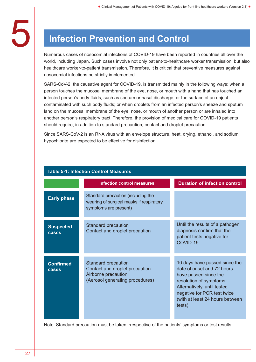## **Infection Prevention and Control**

Numerous cases of nosocomial infections of COVID-19 have been reported in countries all over the world, including Japan. Such cases involve not only patient-to-healthcare worker transmission, but also healthcare worker-to-patient transmission. Therefore, it is critical that preventive measures against nosocomial infections be strictly implemented.

SARS-CoV-2, the causative agent for COVID-19, is transmitted mainly in the following ways: when a person touches the mucosal membrane of the eye, nose, or mouth with a hand that has touched an infected person's body fluids, such as sputum or nasal discharge, or the surface of an object contaminated with such body fluids; or when droplets from an infected person's sneeze and sputum land on the mucosal membrane of the eye, nose, or mouth of another person or are inhaled into another person's respiratory tract. Therefore, the provision of medical care for COVID-19 patients should require, in addition to standard precaution, contact and droplet precaution.

Since SARS-CoV-2 is an RNA virus with an envelope structure, heat, drying, ethanol, and sodium hypochlorite are expected to be effective for disinfection.

|                           | <b>Table 5-1: Infection Control Measures</b>                                                                           |                                                                                                                                                                                                                           |
|---------------------------|------------------------------------------------------------------------------------------------------------------------|---------------------------------------------------------------------------------------------------------------------------------------------------------------------------------------------------------------------------|
|                           | <b>Infection control measures</b>                                                                                      | <b>Duration of infection control</b>                                                                                                                                                                                      |
| <b>Early phase</b>        | Standard precaution (including the<br>wearing of surgical masks if respiratory<br>symptoms are present)                |                                                                                                                                                                                                                           |
| <b>Suspected</b><br>cases | <b>Standard precaution</b><br>Contact and droplet precaution                                                           | Until the results of a pathogen<br>diagnosis confirm that the<br>patient tests negative for<br>COVID-19                                                                                                                   |
| <b>Confirmed</b><br>cases | <b>Standard precaution</b><br>Contact and droplet precaution<br>Airborne precaution<br>(Aerosol generating procedures) | 10 days have passed since the<br>date of onset and 72 hours<br>have passed since the<br>resolution of symptoms<br>Alternatively, until tested<br>negative for PCR test twice<br>(with at least 24 hours between<br>tests) |

Note: Standard precaution must be taken irrespective of the patients' symptoms or test results.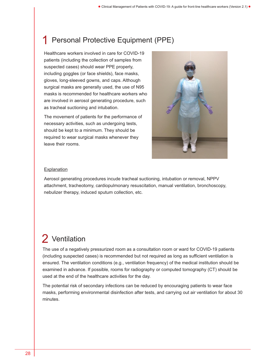### Personal Protective Equipment (PPE)

Healthcare workers involved in care for COVID-19 patients (including the collection of samples from suspected cases) should wear PPE properly, including goggles (or face shields), face masks, gloves, long-sleeved gowns, and caps. Although surgical masks are generally used, the use of N95 masks is recommended for healthcare workers who are involved in aerosol generating procedure, such as tracheal suctioning and intubation.

The movement of patients for the performance of necessary activities, such as undergoing tests, should be kept to a minimum. They should be required to wear surgical masks whenever they leave their rooms.



#### **Explanation**

Aerosol generating procedures incude tracheal suctioning, intubation or removal, NPPV attachment, tracheotomy, cardiopulmonary resuscitation, manual ventilation, bronchoscopy, nebulizer therapy, induced sputum collection, etc.

### 2 Ventilation

The use of a negatively pressurized room as a consultation room or ward for COVID-19 patients (including suspected cases) is recommended but not required as long as sufficient ventilation is ensured. The ventilation conditions (e.g., ventilation frequency) of the medical institution should be examined in advance. If possible, rooms for radiography or computed tomography (CT) should be used at the end of the healthcare activities for the day.

The potential risk of secondary infections can be reduced by encouraging patients to wear face masks, performing environmental disinfection after tests, and carrying out air ventilation for about 30 minutes.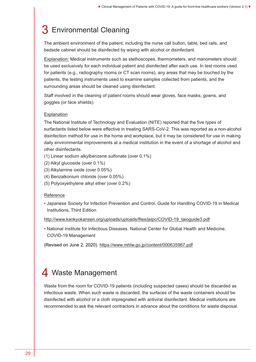### 3 Environmental Cleaning

The ambient environment of the patient, including the nurse call button, table, bed rails, and bedside cabinet should be disinfected by wiping with alcohol or disinfectant.

Explanation: Medical instruments such as stethoscopes, thermometers, and manometers should be used exclusively for each individual patient and disinfected after each use. In test rooms used for patients (e.g., radiography rooms or CT scan rooms), any areas that may be touched by the patients, the testing instruments used to examine samples collected from patients, and the surrounding areas should be cleaned using disinfectant.

Staff involved in the cleaning of patient rooms should wear gloves, face masks, gowns, and goggles (or face shields).

#### **Explanation**

The National Institute of Technology and Evaluation (NITE) reported that the five types of surfactants listed below were effective in treating SARS-CoV-2. This was reported as a non-alcohol disinfection method for use in the home and workplace, but it may be considered for use in making daily environmental improvements at a medical institution in the event of a shortage of alcohol and other disinfectants.

- (1) Linear sodium alkylbenzene sulfonate (over 0.1%)
- (2) Alkyl glucoside (over 0.1%)
- (3) Alkylamine oxide (over 0.05%)
- (4) Benzalkonium chloride (over 0.05%)
- (5) Polyoxyethylene alkyl ether (over 0.2%)

#### Reference

• Japanese Society for Infection Prevention and Control. Guide for Handling COVID-19 in Medical Institutions, Third Edition

[http://www.kankyokansen.org/uploads/uploads/files/jsipc/COVID-19\\_taioguide3.pdf](http://www.kankyokansen.org/uploads/uploads/files/jsipc/COVID-19_taioguide3.pdf)

• National Institute for Infectious Diseases. National Center for Global Health and Medicine. COVID-19 Management

(Revised on June 2, 2020). <https://www.mhlw.go.jp/content/000635967.pdf>

### 4 Waste Management

Waste from the room for COVID-19 patients (including suspected cases) should be discarded as infectious waste. When such waste is discarded, the surfaces of the waste containers should be disinfected with alcohol or a cloth impregnated with antiviral disinfectant. Medical institutions are recommended to ask the relevant contractors in advance about the conditions for waste disposal.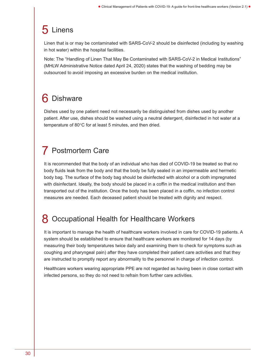### **Linens**

Linen that is or may be contaminated with SARS-CoV-2 should be disinfected (including by washing in hot water) within the hospital facilities.

Note: The "Handling of Linen That May Be Contaminated with SARS-CoV-2 in Medical Institutions" (MHLW Administrative Notice dated April 24, 2020) states that the washing of bedding may be outsourced to avoid imposing an excessive burden on the medical institution.

## **Dishware**

Dishes used by one patient need not necessarily be distinguished from dishes used by another patient. After use, dishes should be washed using a neutral detergent, disinfected in hot water at a temperature of 80°C for at least 5 minutes, and then dried.

### Postmortem Care

It is recommended that the body of an individual who has died of COVID-19 be treated so that no body fluids leak from the body and that the body be fully sealed in an impermeable and hermetic body bag. The surface of the body bag should be disinfected with alcohol or a cloth impregnated with disinfectant. Ideally, the body should be placed in a coffin in the medical institution and then transported out of the institution. Once the body has been placed in a coffin, no infection control measures are needed. Each deceased patient should be treated with dignity and respect.

### **Occupational Health for Healthcare Workers**

It is important to manage the health of healthcare workers involved in care for COVID-19 patients. A system should be established to ensure that healthcare workers are monitored for 14 days (by measuring their body temperatures twice daily and examining them to check for symptoms such as coughing and pharyngeal pain) after they have completed their patient care activities and that they are instructed to promptly report any abnormality to the personnel in charge of infection control.

Healthcare workers wearing appropriate PPE are not regarded as having been in close contact with infected persons, so they do not need to refrain from further care activities.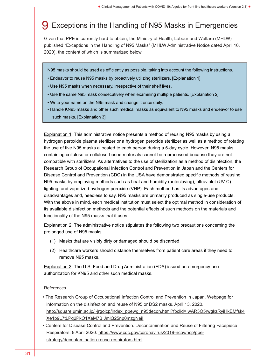### 9 Exceptions in the Handling of N95 Masks in Emergencies

Given that PPE is currently hard to obtain, the Ministry of Health, Labour and Welfare (MHLW) published "Exceptions in the Handling of N95 Masks" (MHLW Administrative Notice dated April 10, 2020), the content of which is summarized below.

N95 masks should be used as efficiently as possible, taking into account the following instructions.

- Endeavor to reuse N95 masks by proactively utilizing sterilizers. [Explanation 1]
- Use N95 masks when necessary, irrespective of their shelf lives.
- Use the same N95 mask consecutively when examining multiple patients. [Explanation 2]
- Write your name on the N95 mask and change it once daily.
- Handle KN95 masks and other such medical masks as equivalent to N95 masks and endeavor to use such masks. [Explanation 3]

Explanation 1: This administrative notice presents a method of reusing N95 masks by using a hydrogen peroxide plasma sterilizer or a hydrogen peroxide sterilizer as well as a method of rotating the use of five N95 masks allocated to each person during a 5-day cycle. However, N95 masks containing cellulose or cellulose-based materials cannot be reprocessed because they are not compatible with sterilizers. As alternatives to the use of sterilization as a method of disinfection, the Research Group of Occupational Infection Control and Prevention in Japan and the Centers for Disease Control and Prevention (CDC) in the USA have demonstrated specific methods of reusing N95 masks by employing methods such as heat and humidity (autoclaving), ultraviolet (UV-C) lighting, and vaporized hydrogen peroxide (VHP). Each method has its advantages and disadvantages and, needless to say, N95 masks are primarily produced as single-use products. With the above in mind, each medical institution must select the optimal method in consideration of its available disinfection methods and the potential effects of such methods on the materials and functionality of the N95 masks that it uses.

Explanation 2: The administrative notice stipulates the following two precautions concerning the prolonged use of N95 masks.

- (1) Masks that are visibly dirty or damaged should be discarded.
- (2) Healthcare workers should distance themselves from patient care areas if they need to remove N95 masks.

Explanation 3: The U.S. Food and Drug Administration (FDA) issued an emergency use authorization for KN95 and other such medical masks.

#### References

- The Research Group of Occupational Infection Control and Prevention in Japan. Webpage for information on the disinfection and reuse of N95 or DS2 masks. April 13, 2020. [http://square.umin.ac.jp/~jrgoicp/index\\_ppewg\\_n95decon.html?fbclid=IwAR3O5rwgkzRyiHkEMfsk4](http://square.umin.ac.jp/~jrgoicp/index_ppewg_n95decon.html?fbclid=IwAR3O5rwgkzRyiHkEMfsk4Xe1p9L7tLPq2PkO1XeM7BIJmlQ25np0mzgNeiI) [Xe1p9L7tLPq2PkO1XeM7BIJmlQ25np0mzgNeiI](http://square.umin.ac.jp/~jrgoicp/index_ppewg_n95decon.html?fbclid=IwAR3O5rwgkzRyiHkEMfsk4Xe1p9L7tLPq2PkO1XeM7BIJmlQ25np0mzgNeiI)
- Centers for Disease Control and Prevention. Decontamination and Reuse of Filtering Facepiece Respirators. 9 April 2020. [https://www.cdc.gov/coronavirus/2019-ncov/hcp/ppe](https://www.cdc.gov/coronavirus/2019-ncov/hcp/ppe-strategy/decontamination-reuse-respirators.html)[strategy/decontamination-reuse-respirators.html](https://www.cdc.gov/coronavirus/2019-ncov/hcp/ppe-strategy/decontamination-reuse-respirators.html)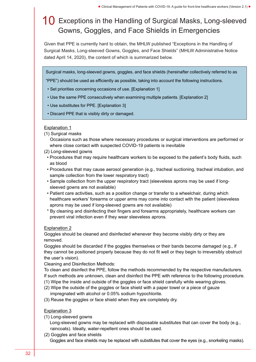### 10 Exceptions in the Handling of Surgical Masks, Long-sleeved Gowns, Goggles, and Face Shields in Emergencies

Given that PPE is currently hard to obtain, the MHLW published "Exceptions in the Handling of Surgical Masks, Long-sleeved Gowns, Goggles, and Face Shields" (MHLW Administrative Notice dated April 14, 2020), the content of which is summarized below.

Surgical masks, long-sleeved gowns, goggles, and face shields (hereinafter collectively referred to as

"PPE") should be used as efficiently as possible, taking into account the following instructions.

- Set priorities concerning occasions of use. [Explanation 1]
- Use the same PPE consecutively when examining multiple patients. [Explanation 2]
- Use substitutes for PPE. [Explanation 3]
- Discard PPE that is visibly dirty or damaged.

#### Explanation 1

(1) Surgical masks

Occasions such as those where necessary procedures or surgical interventions are performed or where close contact with suspected COVID-19 patients is inevitable

- (2) Long-sleeved gowns
- Procedures that may require healthcare workers to be exposed to the patient's body fluids, such as blood
- Procedures that may cause aerosol generation (e.g., tracheal suctioning, tracheal intubation, and sample collection from the lower respiratory tract)
- Sample collection from the upper respiratory tract (sleeveless aprons may be used if longsleeved gowns are not available)
- Patient care activities, such as a position change or transfer to a wheelchair, during which healthcare workers' forearms or upper arms may come into contact with the patient (sleeveless aprons may be used if long-sleeved gowns are not available)
- \* By cleaning and disinfecting their fingers and forearms appropriately, healthcare workers can prevent viral infection even if they wear sleeveless aprons.

#### Explanation 2

Goggles should be cleaned and disinfected whenever they become visibly dirty or they are removed.

Goggles should be discarded if the goggles themselves or their bands become damaged (e.g., if they cannot be positioned properly because they do not fit well or they begin to irreversibly obstruct the user's vision).

Cleaning and Disinfection Methods:

To clean and disinfect the PPE, follow the methods recommended by the respective manufacturers. If such methods are unknown, clean and disinfect the PPE with reference to the following procedure.

- (1) Wipe the inside and outside of the goggles or face shield carefully while wearing gloves.
- (2) Wipe the outside of the goggles or face shield with a paper towel or a piece of gauze impregnated with alcohol or 0.05% sodium hypochlorite.
- (3) Reuse the goggles or face shield when they are completely dry.

#### Explanation 3

(1) Long-sleeved gowns

Long-sleeved gowns may be replaced with disposable substitutes that can cover the body (e.g., raincoats). Ideally, water-repellent ones should be used.

(2) Goggles and face shields Goggles and face shields may be replaced with substitutes that cover the eyes (e.g., snorkeling masks).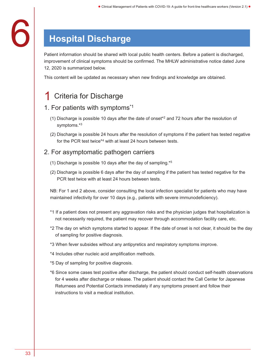## **Hospital Discharge**

Patient information should be shared with local public health centers. Before a patient is discharged, improvement of clinical symptoms should be confirmed. The MHLW administrative notice dated June 12, 2020 is summarized below.

This content will be updated as necessary when new findings and knowledge are obtained.

### **Criteria for Discharge**

### 1. For patients with symptoms\*1

- (1) Discharge is possible 10 days after the date of onset<sup> $2$ </sup> and 72 hours after the resolution of symptoms.\*3
- (2) Discharge is possible 24 hours after the resolution of symptoms if the patient has tested negative for the PCR test twice\*4 with at least 24 hours between tests.

### 2. For asymptomatic pathogen carriers

- (1) Discharge is possible 10 days after the day of sampling.\*5
- (2) Discharge is possible 6 days after the day of sampling if the patient has tested negative for the PCR test twice with at least 24 hours between tests.

NB: For 1 and 2 above, consider consulting the local infection specialist for patients who may have maintained infectivity for over 10 days (e.g., patients with severe immunodeficiency).

- \*1 If a patient does not present any aggravation risks and the physician judges that hospitalization is not necessarily required, the patient may recover through accommodation facility care, etc.
- \*2 The day on which symptoms started to appear. If the date of onset is not clear, it should be the day of sampling for positive diagnosis.
- \*3 When fever subsides without any antipyretics and respiratory symptoms improve.
- \*4 Includes other nucleic acid amplification methods.
- \*5 Day of sampling for positive diagnosis.
- \*6 Since some cases test positive after discharge, the patient should conduct self-health observations for 4 weeks after discharge or release. The patient should contact the Call Center for Japanese Returnees and Potential Contacts immediately if any symptoms present and follow their instructions to visit a medical institution.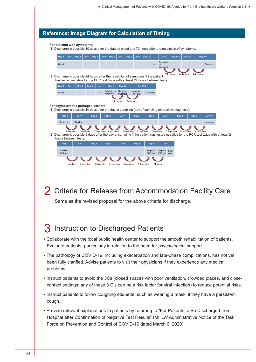#### Reference: Image Diagram for Calculation of Timing

For patients with symptoms:

(1) Discharge is possible 10 days after the date of onset and 72 hours after the resolution of symptoms.

| Day 0                                                                                                 | Day 1       | Day 2      | Day 3        | Day 4        | Day 5        | Day 6                     | Day 7                | Day 8        | Day 9                | <b>Day 10</b> | $\cdots$             | Day X                                                                            | Day X+1      | Day $X+2$    |               | Day X+3                                                                                                                               |
|-------------------------------------------------------------------------------------------------------|-------------|------------|--------------|--------------|--------------|---------------------------|----------------------|--------------|----------------------|---------------|----------------------|----------------------------------------------------------------------------------|--------------|--------------|---------------|---------------------------------------------------------------------------------------------------------------------------------------|
|                                                                                                       |             |            |              |              |              |                           |                      |              |                      |               |                      | Resolution                                                                       |              |              |               |                                                                                                                                       |
| Onset                                                                                                 |             |            |              |              |              |                           |                      |              |                      |               | $\cdots$             | of<br>symptoms                                                                   |              |              |               | Discharge                                                                                                                             |
|                                                                                                       |             |            |              |              |              |                           |                      |              |                      |               |                      |                                                                                  |              | 24 hours     |               |                                                                                                                                       |
| (2) Discharge is possible 24 hours after the resolution of symptoms if the patient                    |             |            |              |              |              |                           |                      |              |                      |               |                      |                                                                                  | 24 hours     |              | 24 hours      |                                                                                                                                       |
|                                                                                                       |             |            |              |              |              |                           |                      |              |                      |               |                      | has tested negative for the PCR test twice with at least 24 hours between tests. |              |              |               |                                                                                                                                       |
| Day 0                                                                                                 | Day 1       | Day 2      | Day 3        |              |              | Day X                     | Day X+1              |              |                      | Day X+2       |                      |                                                                                  |              |              |               |                                                                                                                                       |
| Onset                                                                                                 |             |            |              | $\cdots$     |              | Resolution of<br>symptoms | Negative<br>PCR test |              | Negative<br>PCR test | Discharge     |                      |                                                                                  |              |              |               |                                                                                                                                       |
|                                                                                                       |             |            |              |              |              |                           |                      |              |                      |               |                      |                                                                                  |              |              |               |                                                                                                                                       |
| For asymptomatic pathogen carriers:                                                                   |             |            |              |              |              |                           | 24 hours             | 24 hours     |                      |               |                      |                                                                                  |              |              |               |                                                                                                                                       |
| (1) Discharge is possible 10 days after the day of sampling (day of sampling for positive diagnosis). |             |            |              |              |              |                           |                      |              |                      |               |                      |                                                                                  |              |              |               |                                                                                                                                       |
|                                                                                                       | Day 0       | Day 1      |              | Day 2        |              | Day 3                     | Day 4                |              | Day 5                |               | Day 6                | Day 7                                                                            | Day 8        |              | Day 9         | <b>Day 10</b>                                                                                                                         |
| Sampling                                                                                              |             | (Positive) |              |              |              |                           |                      |              |                      |               |                      |                                                                                  |              |              |               | Discharge                                                                                                                             |
|                                                                                                       |             |            |              |              |              |                           |                      |              |                      |               |                      |                                                                                  |              |              |               |                                                                                                                                       |
|                                                                                                       | 1 day later |            | 2 days later | 3 days later |              | 4 days later              |                      | 5 days later |                      | 6 days later  | 7 days later         |                                                                                  | 8 days later | 9 days later | 10 days later |                                                                                                                                       |
| hours between tests.                                                                                  |             |            |              |              |              |                           |                      |              |                      |               |                      |                                                                                  |              |              |               | (2) Discharge is possible 6 days after the day of sampling if the patient has tested negative for the PCR test twice with at least 24 |
| Day 0                                                                                                 |             | Day 1      |              | Day 2        |              | Day 3                     | Day 4                |              | Day 5                |               | Day 6                | Day 7                                                                            |              |              |               |                                                                                                                                       |
|                                                                                                       |             |            |              |              |              |                           |                      |              |                      |               |                      |                                                                                  |              |              |               |                                                                                                                                       |
| Positive<br>PCR test                                                                                  |             |            |              |              |              |                           |                      |              |                      |               | Negative<br>PCR test | Negative<br>PCR test arge                                                        | Disch        |              |               |                                                                                                                                       |
|                                                                                                       |             |            |              |              |              |                           |                      |              |                      |               |                      |                                                                                  |              |              |               |                                                                                                                                       |
|                                                                                                       | 1 day later |            | 2 days later |              | 3 days later | 4 days later              |                      | 5 days later |                      | 6 days later  | 24 hours             |                                                                                  |              |              |               |                                                                                                                                       |

2 Criteria for Release from Accommodation Facility Care

Same as the revised proposal for the above criteria for discharge.

### 3 Instruction to Discharged Patients

- Collaborate with the local public health center to support the smooth rehabilitation of patients. Evaluate patients, particularly in relation to the need for psychological support.
- The pathology of COVID-19, including exacerbation and late-phase complications, has not yet been fully clarified. Advise patients to visit their physicians if they experience any medical problems.
- Instruct patients to avoid the 3Cs (closed spaces with poor ventilation, crowded places, and closecontact settings; any of these 3 C's can be a risk factor for viral infection) to reduce potential risks.
- Instruct patients to follow coughing etiquette, such as wearing a mask, if they have a persistent cough.
- Provide relevant explanations to patients by referring to "For Patients to Be Discharged from Hospital after Confirmation of Negative Test Results" (MHLW Administrative Notice of the Task Force on Prevention and Control of COVID-19 dated March 6, 2020).